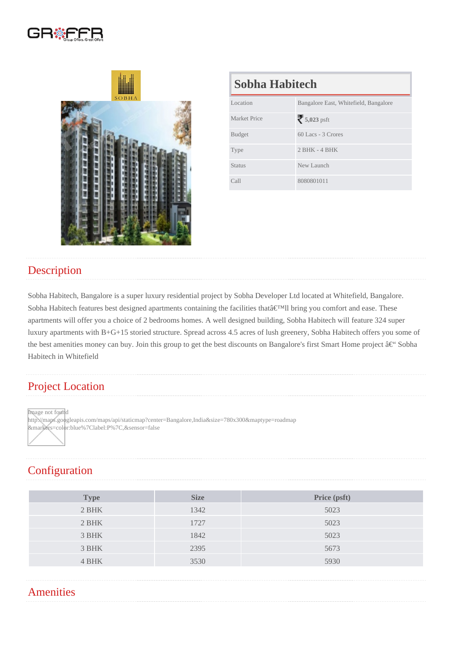| Sobha Habitech |                                       |  |
|----------------|---------------------------------------|--|
| Location       | Bangalore East, Whitefield, Bangalore |  |
| Market Price   | 5,023psft                             |  |
| <b>Budget</b>  | 60 Lacs - 3 Crores                    |  |
| <b>Type</b>    | $2$ BHK - 4 BHK                       |  |
| <b>Status</b>  | New Launch                            |  |
| Call           | 8080801011                            |  |

## **Description**

Sobha Habitech, Bangalore is a super luxury residential project by Sobha Developer Ltd located at Whitefield, Bangalore. Sobha Habitech features best designed apartments containing the facilities that'II bring you comfort and ease. These apartments will offer you a choice of 2 bedrooms homes. A well designed building, Sobha Habitech will feature 324 super luxury apartments with B+G+15 storied structure. Spread across 4.5 acres of lush greenery, Sobha Habitech offers you some of the best amenities money can buy. Join this group to get the best discounts on Bangalore's first Smart Home project – Sobha Habitech in Whitefield

## Project Location

Image not found

http://maps.googleapis.com/maps/api/staticmap?center=Bangalore,India&size=780x300&maptype=roadmap &markers=color:blue%7Clabel:P%7C,&sensor=false

## **Configuration**

| <b>Type</b> | <b>Size</b> | Price (psft) |
|-------------|-------------|--------------|
| 2 BHK       | 1342        | 5023         |
| 2 BHK       | 1727        | 5023         |
| 3 BHK       | 1842        | 5023         |
| 3 BHK       | 2395        | 5673         |
| 4 BHK       | 3530        | 5930         |

## **Amenities**